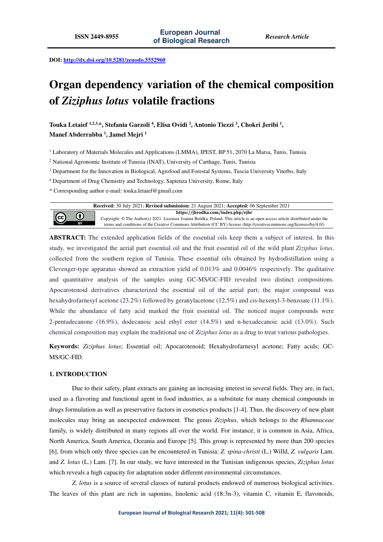**DOI: http://dx.doi.org/10.5281/zenodo.5552960** 

# **Organ dependency variation of the chemical composition of** *Ziziphus lotus* **volatile fractions**

**Touka Letaief 1,2,3,\*, Stefania Garzoli <sup>4</sup> , Elisa Ovidi <sup>3</sup> , Antonio Tiezzi <sup>3</sup> , Chokri Jeribi <sup>1</sup> , Manef Abderrabba <sup>1</sup> , Jamel Mejri <sup>1</sup>**

<sup>1</sup> Laboratory of Materials Molecules and Applications (LMMA), IPEST, BP 51, 2070 La Marsa, Tunis, Tunisia

<sup>2</sup> National Agronomic Institute of Tunisia (INAT), University of Carthage, Tunis, Tunisia

<sup>3</sup> Department for the Innovation in Biological, Agrofood and Forestal Systems, Tuscia University Viterbo, Italy

4 Department of Drug Chemistry and Technology, Sapienza University, Rome, Italy

\* Corresponding author e-mail: touka.letaief@gmail.com

**Received:** 30 July 2021; **Revised submission:** 21 August 2021; **Accepted:** 06 September 2021 **https://jbrodka.com/index.php/ejbr**

Copyright: © The Author(s) 2021. Licensee Joanna Bródka, Poland. This article is an open access article distributed under the terms and conditions of the Creative Commons Attribution (CC BY) license (http://creativecommons.org/licenses/by/4.0/)

**ABSTRACT:** The extended application fields of the essential oils keep them a subject of interest. In this study, we investigated the aerial part essential oil and the fruit essential oil of the wild plant *Ziziphus lotus*, collected from the southern region of Tunisia. These essential oils obtained by hydrodistillation using a Clevenger-type apparatus showed an extraction yield of 0.013% and 0.0046% respectively. The qualitative and quantitative analysis of the samples using GC-MS/GC-FID revealed two distinct compositions. Apocarotenoid derivatives characterized the essential oil of the aerial part; the major compound was hexahydrofarnesyl acetone (23.2%) followed by geranylacetone (12.5%) and cis-hexenyl-3-benzoate (11.1%). While the abundance of fatty acid marked the fruit essential oil. The noticed major compounds were 2-pentadecanone (16.9%), dodecanoic acid ethyl ester (14.5%) and n-hexadecanoic acid (13.0%). Such chemical composition may explain the traditional use of *Ziziphus lotus* as a drug to treat various pathologies.

**Keywords:** *Ziziphus lotus*; Essential oil; Apocarotenoid; Hexahydrofarnesyl acetone; Fatty acids; GC-MS/GC-FID.

## **1. INTRODUCTION**

0

 $\left(\mathrm{cc}\right)$ 

Due to their safety, plant extracts are gaining an increasing interest in several fields. They are, in fact, used as a flavoring and functional agent in food industries, as a substitute for many chemical compounds in drugs formulation as well as preservative factors in cosmetics products [1-4]. Thus, the discovery of new plant molecules may bring an unexpected endowment. The genus *Ziziphus*, which belongs to the *Rhamnaceae* family, is widely distributed in many regions all over the world. For instance, it is common in Asia, Africa, North America, South America, Oceania and Europe [5]. This group is represented by more than 200 species [6], from which only three species can be encountered in Tunisia: *Z. spina-christi* (L.) Willd, *Z. vulgaris* Lam. and *Z. lotus* (L.) Lam. [7]. In our study, we have interested in the Tunisian indigenous species, *Ziziphus lotus*  which reveals a high capacity for adaptation under different environmental circumstances.

*Z. lotus* is a source of several classes of natural products endowed of numerous biological activities. The leaves of this plant are rich in saponins, linolenic acid (18:3n-3), vitamin C, vitamin E, flavonoids,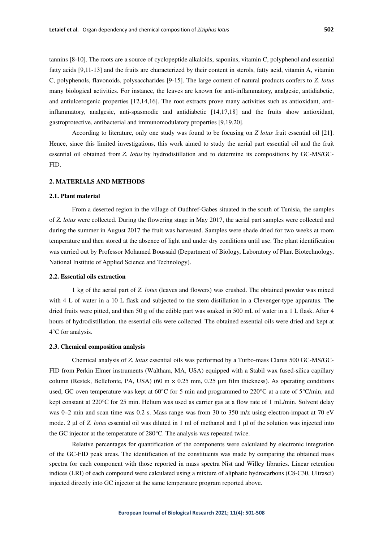tannins [8-10]. The roots are a source of cyclopeptide alkaloids, saponins, vitamin C, polyphenol and essential fatty acids [9,11-13] and the fruits are characterized by their content in sterols, fatty acid, vitamin A, vitamin C, polyphenols, flavonoids, polysaccharides [9-15]. The large content of natural products confers to *Z. lotus*  many biological activities. For instance, the leaves are known for anti-inflammatory, analgesic, antidiabetic, and antiulcerogenic properties [12,14,16]. The root extracts prove many activities such as antioxidant, antiinflammatory, analgesic, anti-spasmodic and antidiabetic [14,17,18] and the fruits show antioxidant, gastroprotective, antibacterial and immunomodulatory properties [9,19,20].

According to literature, only one study was found to be focusing on *Z lotus* fruit essential oil [21]. Hence, since this limited investigations, this work aimed to study the aerial part essential oil and the fruit essential oil obtained from *Z. lotus* by hydrodistillation and to determine its compositions by GC-MS/GC-FID.

# **2. MATERIALS AND METHODS**

#### **2.1. Plant material**

From a deserted region in the village of Oudhref-Gabes situated in the south of Tunisia, the samples of *Z. lotus* were collected. During the flowering stage in May 2017, the aerial part samples were collected and during the summer in August 2017 the fruit was harvested. Samples were shade dried for two weeks at room temperature and then stored at the absence of light and under dry conditions until use. The plant identification was carried out by Professor Mohamed Boussaid (Department of Biology, Laboratory of Plant Biotechnology, National Institute of Applied Science and Technology).

#### **2.2. Essential oils extraction**

1 kg of the aerial part of *Z. lotus* (leaves and flowers) was crushed. The obtained powder was mixed with 4 L of water in a 10 L flask and subjected to the stem distillation in a Clevenger-type apparatus. The dried fruits were pitted, and then 50 g of the edible part was soaked in 500 mL of water in a 1 L flask. After 4 hours of hydrodistillation, the essential oils were collected. The obtained essential oils were dried and kept at 4°C for analysis.

#### **2.3. Chemical composition analysis**

Chemical analysis of *Z. lotus* essential oils was performed by a Turbo-mass Clarus 500 GC-MS/GC-FID from Perkin Elmer instruments (Waltham, MA, USA) equipped with a Stabil wax fused-silica capillary column (Restek, Bellefonte, PA, USA) (60 m  $\times$  0.25 mm, 0.25 µm film thickness). As operating conditions used, GC oven temperature was kept at 60°C for 5 min and programmed to 220°C at a rate of 5°C/min, and kept constant at 220°C for 25 min. Helium was used as carrier gas at a flow rate of 1 mL/min. Solvent delay was 0–2 min and scan time was 0.2 s. Mass range was from 30 to 350 m/z using electron-impact at 70 eV mode. 2 μl of *Z. lotus* essential oil was diluted in 1 ml of methanol and 1 μl of the solution was injected into the GC injector at the temperature of 280°C. The analysis was repeated twice.

Relative percentages for quantification of the components were calculated by electronic integration of the GC-FID peak areas. The identification of the constituents was made by comparing the obtained mass spectra for each component with those reported in mass spectra Nist and Willey libraries. Linear retention indices (LRI) of each compound were calculated using a mixture of aliphatic hydrocarbons (C8-C30, Ultrasci) injected directly into GC injector at the same temperature program reported above.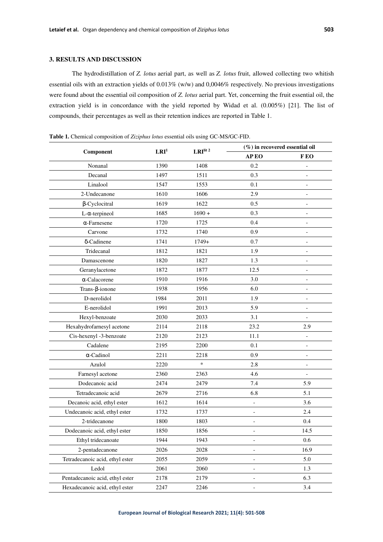# **3. RESULTS AND DISCUSSION**

The hydrodistillation of *Z. lotus* aerial part, as well as *Z. lotus* fruit, allowed collecting two whitish essential oils with an extraction yields of 0.013% (w/w) and 0,0046% respectively. No previous investigations were found about the essential oil composition of *Z. lotus* aerial part. Yet, concerning the fruit essential oil, the extraction yield is in concordance with the yield reported by Widad et al. (0.005%) [21]. The list of compounds, their percentages as well as their retention indices are reported in Table 1.

| Component                       | LRI <sup>1</sup> | LRIlit 2 | $(\%)$ in recovered essential oil |                          |
|---------------------------------|------------------|----------|-----------------------------------|--------------------------|
|                                 |                  |          | AP EO                             | F EO                     |
| Nonanal                         | 1390             | 1408     | 0.2                               |                          |
| Decanal                         | 1497             | 1511     | 0.3                               |                          |
| Linalool                        | 1547             | 1553     | 0.1                               |                          |
| 2-Undecanone                    | 1610             | 1606     | 2.9                               | $\qquad \qquad -$        |
| $\beta$ -Cyclocitral            | 1619             | 1622     | 0.5                               |                          |
| $L$ - $\alpha$ -terpineol       | 1685             | $1690 +$ | 0.3                               |                          |
| $\alpha$ -Farnesene             | 1720             | 1725     | 0.4                               |                          |
| Carvone                         | 1732             | 1740     | 0.9                               |                          |
| δ-Cadinene                      | 1741             | $1749+$  | 0.7                               |                          |
| Tridecanal                      | 1812             | 1821     | 1.9                               |                          |
| Damascenone                     | 1820             | 1827     | 1.3                               |                          |
| Geranylacetone                  | 1872             | 1877     | 12.5                              |                          |
| $\alpha$ -Calacorene            | 1910             | 1916     | 3.0                               | $\qquad \qquad -$        |
| Trans- $\beta$ -ionone          | 1938             | 1956     | 6.0                               |                          |
| D-nerolidol                     | 1984             | 2011     | 1.9                               |                          |
| E-nerolidol                     | 1991             | 2013     | 5.9                               |                          |
| Hexyl-benzoate                  | 2030             | 2033     | 3.1                               | $\overline{\phantom{0}}$ |
| Hexahydrofarnesyl acetone       | 2114             | 2118     | 23.2                              | 2.9                      |
| Cis-hexenyl -3-benzoate         | 2120             | 2123     | 11.1                              |                          |
| Cadalene                        | 2195             | 2200     | 0.1                               |                          |
| $\alpha$ -Cadinol               | 2211             | 2218     | 0.9                               |                          |
| Azulol                          | 2220             | $\ast$   | 2.8                               | $\overline{\phantom{a}}$ |
| Farnesyl acetone                | 2360             | 2363     | 4.6                               |                          |
| Dodecanoic acid                 | 2474             | 2479     | 7.4                               | 5.9                      |
| Tetradecanoic acid              | 2679             | 2716     | 6.8                               | 5.1                      |
| Decanoic acid, ethyl ester      | 1612             | 1614     | $\overline{\phantom{0}}$          | 3.6                      |
| Undecanoic acid, ethyl ester    | 1732             | 1737     | $\qquad \qquad \blacksquare$      | 2.4                      |
| 2-tridecanone                   | 1800             | 1803     |                                   | 0.4                      |
| Dodecanoic acid, ethyl ester    | 1850             | 1856     |                                   | 14.5                     |
| Ethyl tridecanoate              | 1944             | 1943     | $\overline{\phantom{0}}$          | 0.6                      |
| 2-pentadecanone                 | 2026             | 2028     |                                   | 16.9                     |
| Tetradecanoic acid, ethyl ester | 2055             | 2059     | $\qquad \qquad -$                 | 5.0                      |
| Ledol                           | 2061             | 2060     | $\qquad \qquad -$                 | 1.3                      |
| Pentadecanoic acid, ethyl ester | 2178             | 2179     | $\qquad \qquad \blacksquare$      | 6.3                      |
| Hexadecanoic acid, ethyl ester  | 2247             | 2246     | $\qquad \qquad -$                 | 3.4                      |

**Table 1.** Chemical composition of *Ziziphus lotus* essential oils using GC-MS/GC-FID.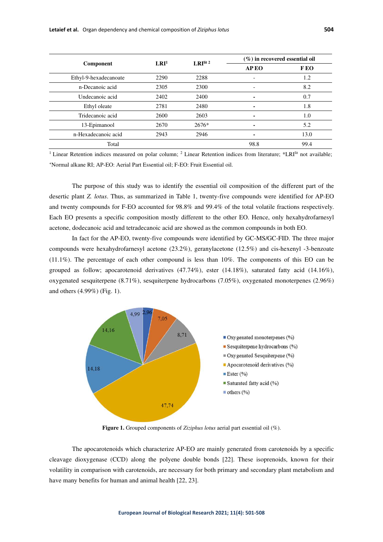| Component             | LRI <sup>1</sup> | LRI <sup>lit 2</sup> | $(\%)$ in recovered essential oil |      |
|-----------------------|------------------|----------------------|-----------------------------------|------|
|                       |                  |                      | <b>APEO</b>                       | F EO |
| Ethyl-9-hexadecanoate | 2290             | 2288                 |                                   | 1.2  |
| n-Decanoic acid       | 2305             | 2300                 |                                   | 8.2  |
| Undecanoic acid       | 2402             | 2400                 |                                   | 0.7  |
| Ethyl oleate          | 2781             | 2480                 | $\blacksquare$                    | 1.8  |
| Tridecanoic acid      | 2600             | 2603                 |                                   | 1.0  |
| 13-Epimanool          | 2670             | 2676*                |                                   | 5.2  |
| n-Hexadecanoic acid   | 2943             | 2946                 |                                   | 13.0 |
| Total                 |                  |                      | 98.8                              | 99.4 |

<sup>1</sup> Linear Retention indices measured on polar column;  $^2$  Linear Retention indices from literature; \*LRI<sup>IIt</sup> not available; <sup>+</sup>Normal alkane RI; AP-EO: Aerial Part Essential oil; F-EO: Fruit Essential oil.

The purpose of this study was to identify the essential oil composition of the different part of the desertic plant *Z. lotus*. Thus, as summarized in Table 1, twenty-five compounds were identified for AP-EO and twenty compounds for F-EO accounted for 98.8% and 99.4% of the total volatile fractions respectively. Each EO presents a specific composition mostly different to the other EO. Hence, only hexahydrofarnesyl acetone, dodecanoic acid and tetradecanoic acid are showed as the common compounds in both EO.

In fact for the AP-EO, twenty-five compounds were identified by GC-MS/GC-FID. The three major compounds were hexahydrofarnesyl acetone (23.2%), geranylacetone (12.5%) and cis-hexenyl -3-benzoate (11.1%). The percentage of each other compound is less than 10%. The components of this EO can be grouped as follow; apocarotenoid derivatives (47.74%), ester (14.18%), saturated fatty acid (14.16%), oxygenated sesquiterpene (8.71%), sesquiterpene hydrocarbons (7.05%), oxygenated monoterpenes (2.96%) and others (4.99%) (Fig. 1).



**Figure 1.** Grouped components of *Ziziphus lotus* aerial part essential oil (%).

The apocarotenoids which characterize AP-EO are mainly generated from carotenoids by a specific cleavage dioxygenase (CCD) along the polyene double bonds [22]. These isoprenoids, known for their volatility in comparison with carotenoids, are necessary for both primary and secondary plant metabolism and have many benefits for human and animal health [22, 23].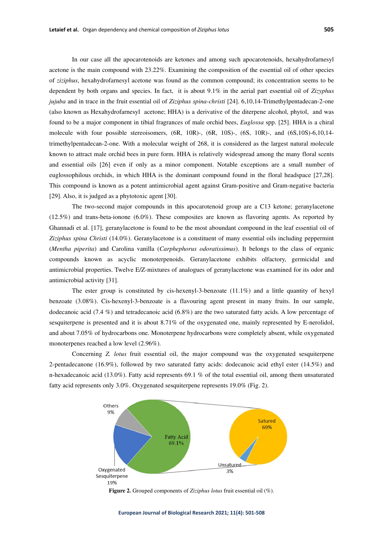In our case all the apocarotenoids are ketones and among such apocarotenoids, hexahydrofarnesyl acetone is the main compound with 23.22%. Examining the composition of the essential oil of other species of *ziziphus*, hexahydrofarnesyl acetone was found as the common compound; its concentration seems to be dependent by both organs and species. In fact, it is about 9.1% in the aerial part essential oil of *Zizyphus jujuba* and in trace in the fruit essential oil of *Ziziphus spina-christi* [24]. 6,10,14-Trimethylpentadecan-2-one (also known as Hexahydrofarnesyl acetone; HHA) is a derivative of the diterpene alcohol, phytol, and was found to be a major component in tibial fragrances of male orchid bees, *Euglossa* spp. [25]. HHA is a chiral molecule with four possible stereoisomers,  $(6R, 10R)$ -,  $(6R, 10S)$ -,  $(6S, 10R)$ -, and  $(6S, 10S)$ -6,10,14trimethylpentadecan-2-one. With a molecular weight of 268, it is considered as the largest natural molecule known to attract male orchid bees in pure form. HHA is relatively widespread among the many floral scents and essential oils [26] even if only as a minor component. Notable exceptions are a small number of euglossophilous orchids, in which HHA is the dominant compound found in the floral headspace [27,28]. This compound is known as a potent antimicrobial agent against Gram-positive and Gram-negative bacteria [29]. Also, it is judged as a phytotoxic agent [30].

The two-second major compounds in this apocarotenoid group are a C13 ketone; geranylacetone (12.5%) and trans-beta-ionone (6.0%). These composites are known as flavoring agents. As reported by Ghannadi et al. [17], geranylacetone is found to be the most aboundant compound in the leaf essential oil of *Ziziphus spina Christi* (14.0%). Geranylacetone is a constituent of many essential oils including peppermint (*Mentha piperita*) and Carolina vanilla (*Carphephorus odoratissimus*). It belongs to the class of organic compounds known as acyclic monoterpenoids. Geranylacetone exhibits olfactory, germicidal and antimicrobial properties. Twelve E/Z-mixtures of analogues of geranylacetone was examined for its odor and antimicrobial activity [31].

The ester group is constituted by cis-hexenyl-3-benzoate  $(11.1\%)$  and a little quantity of hexyl benzoate (3.08%). Cis-hexenyl-3-benzoate is a flavouring agent present in many fruits. In our sample, dodecanoic acid (7.4 %) and tetradecanoic acid (6.8%) are the two saturated fatty acids. A low percentage of sesquiterpene is presented and it is about 8.71% of the oxygenated one, mainly represented by E-nerolidol, and about 7.05% of hydrocarbons one. Monoterpene hydrocarbons were completely absent, while oxygenated monoterpenes reached a low level (2.96%).

Concerning *Z. lotus* fruit essential oil, the major compound was the oxygenated sesquiterpene 2-pentadecanone (16.9%), followed by two saturated fatty acids: dodecanoic acid ethyl ester (14.5%) and n-hexadecanoic acid (13.0%). Fatty acid represents 69.1 % of the total essential oil, among them unsaturated fatty acid represents only 3.0%. Oxygenated sesquiterpene represents 19.0% (Fig. 2).



**Figure 2.** Grouped components of *Ziziphus lotus* fruit essential oil (%).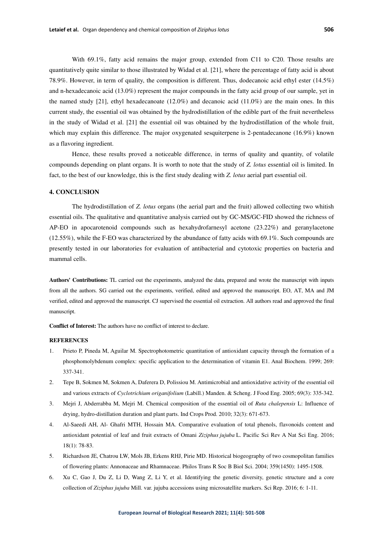With 69.1%, fatty acid remains the major group, extended from C11 to C20. Those results are quantitatively quite similar to those illustrated by Widad et al. [21], where the percentage of fatty acid is about 78.9%. However, in term of quality, the composition is different. Thus, dodecanoic acid ethyl ester (14.5%) and n-hexadecanoic acid (13.0%) represent the major compounds in the fatty acid group of our sample, yet in the named study [21], ethyl hexadecanoate (12.0%) and decanoic acid (11.0%) are the main ones. In this current study, the essential oil was obtained by the hydrodistillation of the edible part of the fruit nevertheless in the study of Widad et al. [21] the essential oil was obtained by the hydrodistillation of the whole fruit, which may explain this difference. The major oxygenated sesquiterpene is 2-pentadecanone (16.9%) known as a flavoring ingredient.

Hence, these results proved a noticeable difference, in terms of quality and quantity, of volatile compounds depending on plant organs. It is worth to note that the study of *Z. lotus* essential oil is limited. In fact, to the best of our knowledge, this is the first study dealing with *Z. lotus* aerial part essential oil.

#### **4. CONCLUSION**

The hydrodistillation of *Z. lotus* organs (the aerial part and the fruit) allowed collecting two whitish essential oils. The qualitative and quantitative analysis carried out by GC-MS/GC-FID showed the richness of AP-EO in apocarotenoid compounds such as hexahydrofarnesyl acetone (23.22%) and geranylacetone (12.55%), while the F-EO was characterized by the abundance of fatty acids with 69.1%. Such compounds are presently tested in our laboratories for evaluation of antibacterial and cytotoxic properties on bacteria and mammal cells.

**Authors' Contributions:** TL carried out the experiments, analyzed the data, prepared and wrote the manuscript with inputs from all the authors. SG carried out the experiments, verified, edited and approved the manuscript. EO, AT, MA and JM verified, edited and approved the manuscript. CJ supervised the essential oil extraction. All authors read and approved the final manuscript.

**Conflict of Interest:** The authors have no conflict of interest to declare.

### **REFERENCES**

- 1. Prieto P, Pineda M, Aguilar M. Spectrophotometric quantitation of antioxidant capacity through the formation of a phosphomolybdenum complex: specific application to the determination of vitamin E1. Anal Biochem. 1999; 269: 337-341.
- 2. Tepe B, Sokmen M, Sokmen A, Daferera D, Polissiou M. Antimicrobial and antioxidative activity of the essential oil and various extracts of *Cyclotrichium origanifolium* (Labill.) Manden. & Scheng. J Food Eng. 2005; 69(3): 335-342.
- 3. Mejri J, Abderrabba M, Mejri M. Chemical composition of the essential oil of *Ruta chalepensis* L: Influence of drying, hydro-distillation duration and plant parts. Ind Crops Prod. 2010; 32(3): 671-673.
- 4. Al-Saeedi AH, Al- Ghafri MTH, Hossain MA. Comparative evaluation of total phenols, flavonoids content and antioxidant potential of leaf and fruit extracts of Omani *Ziziphus jujuba* L. Pacific Sci Rev A Nat Sci Eng. 2016; 18(1): 78-83.
- 5. Richardson JE, Chatrou LW, Mols JB, Erkens RHJ, Pirie MD. Historical biogeography of two cosmopolitan families of flowering plants: Annonaceae and Rhamnaceae. Philos Trans R Soc B Biol Sci. 2004; 359(1450): 1495-1508.
- 6. Xu C, Gao J, Du Z, Li D, Wang Z, Li Y, et al. Identifying the genetic diversity, genetic structure and a core collection of *Ziziphus jujuba* Mill. var. jujuba accessions using microsatellite markers. Sci Rep. 2016; 6: 1-11.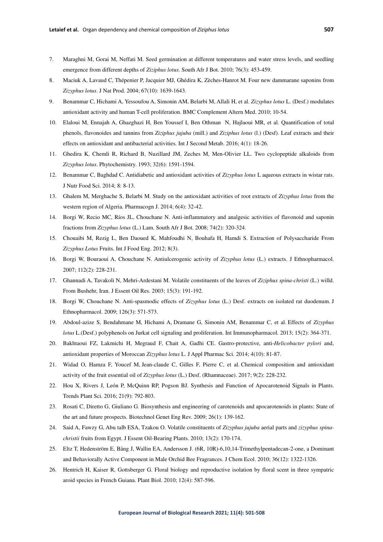- 7. Maraghni M, Gorai M, Neffati M. Seed germination at different temperatures and water stress levels, and seedling emergence from different depths of *Ziziphus lotus*. South Afr J Bot. 2010; 76(3): 453-459.
- 8. Maciuk A, Lavaud C, Thépenier P, Jacquier MJ, Ghédira K, Zèches-Hanrot M. Four new dammarane saponins from *Zizyphus lotus*. J Nat Prod. 2004; 67(10): 1639-1643.
- 9. Benammar C, Hichami A, Yessoufou A, Simonin AM, Belarbi M, Allali H, et al. *Zizyphus lotus* L. (Desf.) modulates antioxidant activity and human T-cell proliferation. BMC Complement Altern Med. 2010; 10-54.
- 10. Elaloui M, Ennajah A, Ghazghazi H, Ben Youssef I, Ben Othman N, Hajlaoui MR, et al. Quantification of total phenols, flavonoides and tannins from *Ziziphus jujuba* (mill.) and *Ziziphus lotus* (l.) (Desf). Leaf extracts and their effects on antioxidant and antibacterial activities. Int J Second Metab. 2016; 4(1): 18-26.
- 11. Ghedira K, Chemli R, Richard B, Nuzillard JM, Zeches M, Men-Olivier LL. Two cyclopeptide alkaloids from *Zizyphus lotus*. Phytochemistry. 1993; 32(6): 1591-1594.
- 12. Benammar C, Baghdad C. Antidiabetic and antioxidant activities of *Zizyphus lotus* L aqueous extracts in wistar rats. J Nutr Food Sci. 2014; 8: 8-13.
- 13. Ghalem M, Merghache S, Belarbi M. Study on the antioxidant activities of root extracts of *Zizyphus lotus* from the western region of Algeria. Pharmacogn J. 2014; 6(4): 32-42.
- 14. Borgi W, Recio MC, Ríos JL, Chouchane N. Anti-inflammatory and analgesic activities of flavonoid and saponin fractions from *Zizyphus lotus* (L.) Lam. South Afr J Bot. 2008; 74(2): 320-324.
- 15. Chouaibi M, Rezig L, Ben Daoued K, Mahfoudhi N, Bouhafa H, Hamdi S. Extraction of Polysaccharide From *Zizyphus Lotus* Fruits. Int J Food Eng. 2012; 8(3).
- 16. Borgi W, Bouraoui A, Chouchane N. Antiulcerogenic activity of *Zizyphus lotus* (L.) extracts. J Ethnopharmacol. 2007; 112(2): 228-231.
- 17. Ghannadi A, Tavakoli N, Mehri-Ardestani M. Volatile constituents of the leaves of *Ziziphus spina-christi* (L.) willd. From Bushehr, Iran. J Essent Oil Res. 2003; 15(3): 191-192.
- 18. Borgi W, Chouchane N. Anti-spasmodic effects of *Zizyphus lotus* (L.) Desf. extracts on isolated rat duodenum. J Ethnopharmacol. 2009; 126(3): 571-573.
- 19. Abdoul-azize S, Bendahmane M, Hichami A, Dramane G, Simonin AM, Benammar C, et al. Effects of *Zizyphus lotus* L.(Desf.) polyphenols on Jurkat cell signaling and proliferation. Int Immunopharmacol. 2013; 15(2): 364-371.
- 20. Bakhtaoui FZ, Lakmichi H, Megraud F, Chait A, Gadhi CE. Gastro-protective, anti-*Helicobacter pylori* and, antioxidant properties of Moroccan *Zizyphus lotus* L. J Appl Pharmac Sci. 2014; 4(10): 81-87.
- 21. Widad O, Hamza F, Youcef M, Jean-claude C, Gilles F, Pierre C, et al. Chemical composition and antioxidant activity of the fruit essential oil of *Zizyphus lotus* (L.) Desf. (Rhamnaceae). 2017; 9(2): 228-232.
- 22. Hou X, Rivers J, León P, McQuinn RP, Pogson BJ. Synthesis and Function of Apocarotenoid Signals in Plants. Trends Plant Sci. 2016; 21(9): 792-803.
- 23. Rosati C, Diretto G, Giuliano G. Biosynthesis and engineering of carotenoids and apocarotenoids in plants: State of the art and future prospects. Biotechnol Genet Eng Rev. 2009; 26(1): 139-162.
- 24. Said A, Fawzy G, Abu talb ESA, Tzakou O. Volatile constituents of *Zizyphus jujuba* aerial parts and *zizyphus spinachristii* fruits from Egypt. J Essent Oil-Bearing Plants. 2010; 13(2): 170-174.
- 25. Eltz T, Hedenström E, Bång J, Wallin EA, Andersson J. (6R, 10R)-6,10,14-Trimethylpentadecan-2-one, a Dominant and Behaviorally Active Component in Male Orchid Bee Fragrances. J Chem Ecol. 2010; 36(12): 1322-1326.
- 26. Hentrich H, Kaiser R, Gottsberger G. Floral biology and reproductive isolation by floral scent in three sympatric aroid species in French Guiana. Plant Biol. 2010; 12(4): 587-596.